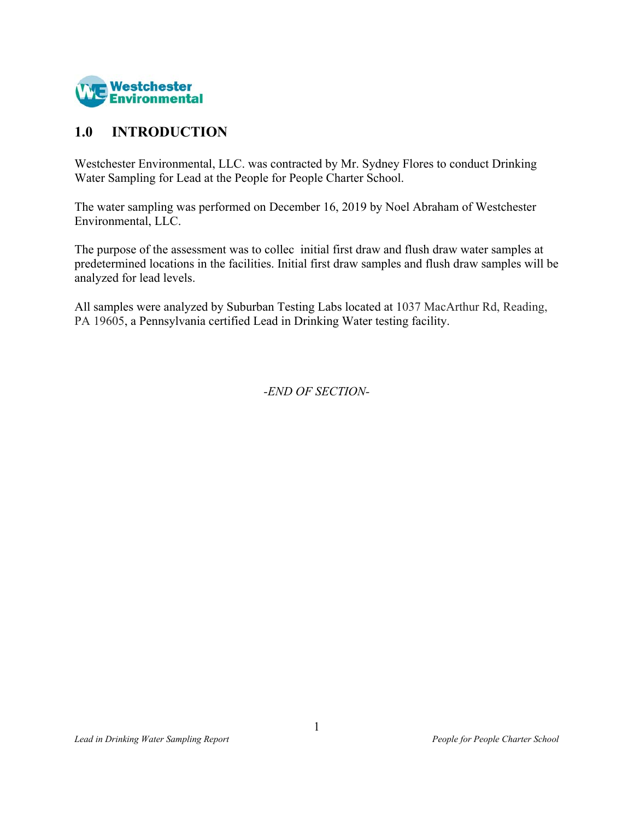

# **INTRODUCTION**

Westchester Environmental, LLC. was contracted by Mr. Sydney Flores to conduct Drinking Water Sampling for Lead at the People for People Charter School.

The water sampling was performed on December 16, 2019 by Noel Abraham of Westchester Environmental, LLC.

The purpose of the assessment was to collec initial first draw and flush draw water samples at predetermined locations in the facilities. Initial first draw samples and flush draw samples will be analyzed for lead levels.

All samples were analyzed by Suburban Testing Labs located at 1037 MacArthur Rd, Reading, PA 19605, a Pennsylvania certified Lead in Drinking Water testing facility.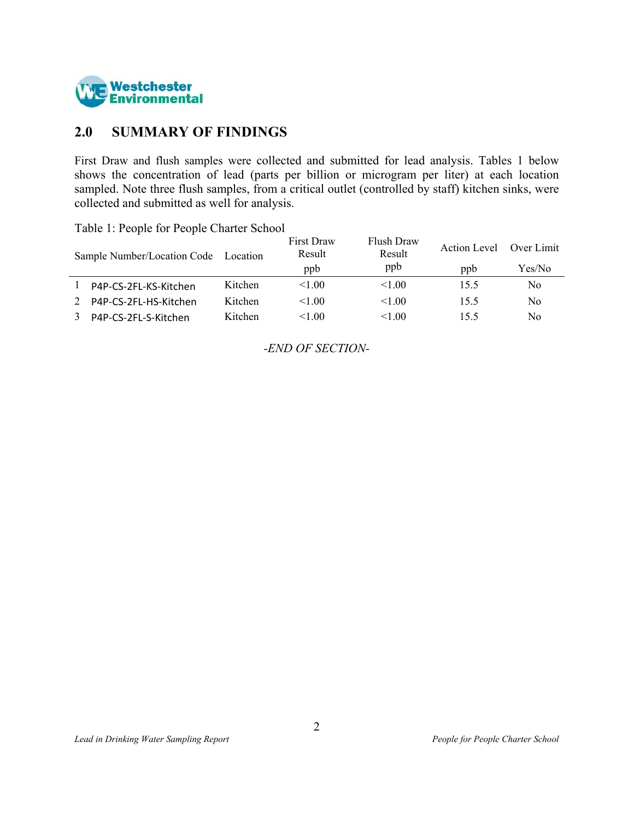

## 2.0 SUMMARY OF FINDINGS

First Draw and flush samples were collected and submitted for lead analysis. Tables 1 below shows the concentration of lead (parts per billion or microgram per liter) at each location sampled. Note three flush samples, from a critical outlet (controlled by staff) kitchen sinks, were collected and submitted as well for analysis.

| Sample Number/Location Code | Location | <b>First Draw</b><br>Result<br>ppb | Flush Draw<br>Result<br>ppb | Action Level<br>ppb | Over Limit<br>Yes/No |
|-----------------------------|----------|------------------------------------|-----------------------------|---------------------|----------------------|
| P4P-CS-2FL-KS-Kitchen       | Kitchen  | < 1.00                             | < 1.00                      | 15.5                | No                   |
| P4P-CS-2FL-HS-Kitchen       | Kitchen  | <1.00                              | < 1.00                      | 15.5                | No                   |
| P4P-CS-2FL-S-Kitchen        | Kitchen  | <1.00                              | < 1.00                      | 15.5                | No                   |

Table 1: People for People Charter School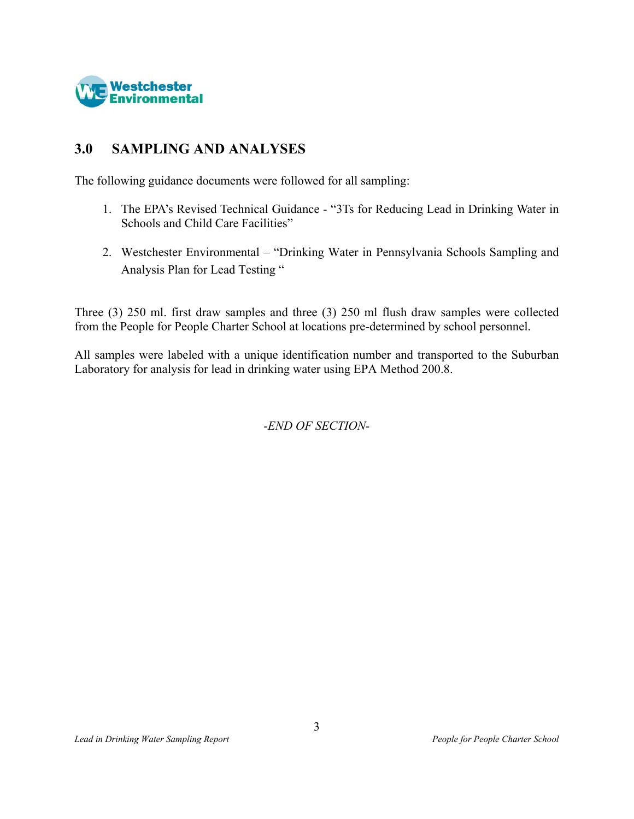

### $3.0$ **SAMPLING AND ANALYSES**

The following guidance documents were followed for all sampling:

- 1. The EPA's Revised Technical Guidance "3Ts for Reducing Lead in Drinking Water in Schools and Child Care Facilities"
- 2. Westchester Environmental "Drinking Water in Pennsylvania Schools Sampling and Analysis Plan for Lead Testing "

Three  $(3)$  250 ml. first draw samples and three  $(3)$  250 ml flush draw samples were collected from the People for People Charter School at locations pre-determined by school personnel.

All samples were labeled with a unique identification number and transported to the Suburban Laboratory for analysis for lead in drinking water using EPA Method 200.8.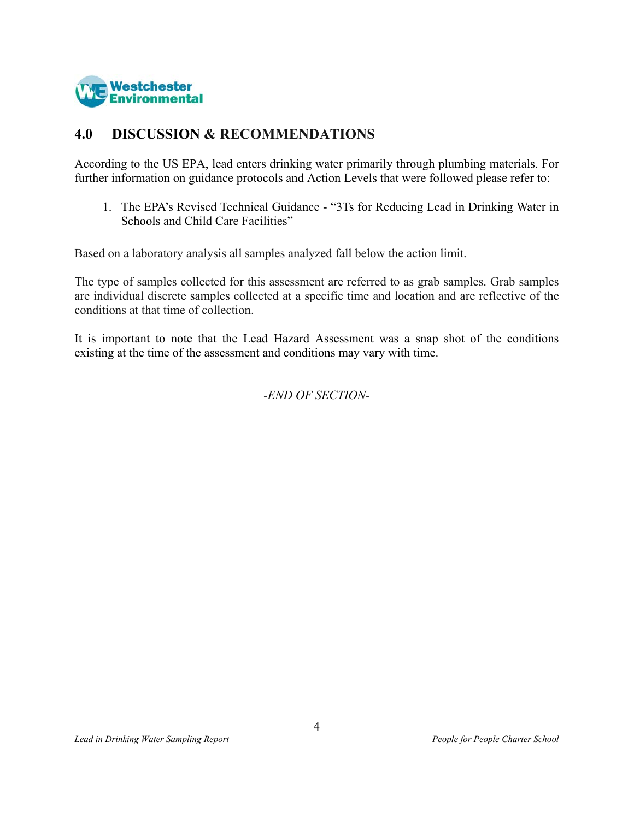

#### $4.0$ **DISCUSSION & RECOMMENDATIONS**

According to the US EPA, lead enters drinking water primarily through plumbing materials. For further information on guidance protocols and Action Levels that were followed please refer to:

1. The EPA's Revised Technical Guidance - "3Ts for Reducing Lead in Drinking Water in Schools and Child Care Facilities"

Based on a laboratory analysis all samples analyzed fall below the action limit.

The type of samples collected for this assessment are referred to as grab samples. Grab samples are individual discrete samples collected at a specific time and location and are reflective of the conditions at that time of collection.

It is important to note that the Lead Hazard Assessment was a snap shot of the conditions existing at the time of the assessment and conditions may vary with time.